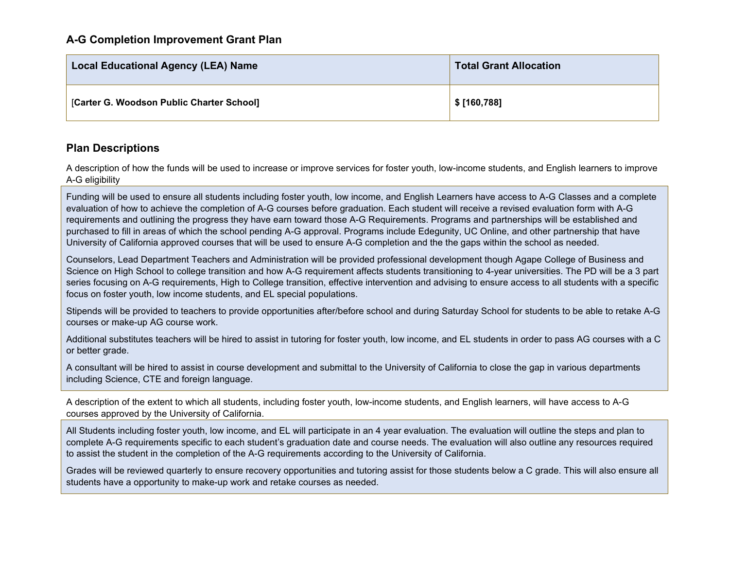| <b>Local Educational Agency (LEA) Name</b> | <b>Total Grant Allocation</b> |
|--------------------------------------------|-------------------------------|
| [Carter G. Woodson Public Charter School]  | \$ [160,788]                  |

## **Plan Descriptions**

A description of how the funds will be used to increase or improve services for foster youth, low-income students, and English learners to improve A-G eligibility

Funding will be used to ensure all students including foster youth, low income, and English Learners have access to A-G Classes and a complete evaluation of how to achieve the completion of A-G courses before graduation. Each student will receive a revised evaluation form with A-G requirements and outlining the progress they have earn toward those A-G Requirements. Programs and partnerships will be established and purchased to fill in areas of which the school pending A-G approval. Programs include Edegunity, UC Online, and other partnership that have University of California approved courses that will be used to ensure A-G completion and the the gaps within the school as needed.

Counselors, Lead Department Teachers and Administration will be provided professional development though Agape College of Business and Science on High School to college transition and how A-G requirement affects students transitioning to 4-year universities. The PD will be a 3 part series focusing on A-G requirements, High to College transition, effective intervention and advising to ensure access to all students with a specific focus on foster youth, low income students, and EL special populations.

Stipends will be provided to teachers to provide opportunities after/before school and during Saturday School for students to be able to retake A-G courses or make-up AG course work.

Additional substitutes teachers will be hired to assist in tutoring for foster youth, low income, and EL students in order to pass AG courses with a C or better grade.

A consultant will be hired to assist in course development and submittal to the University of California to close the gap in various departments including Science, CTE and foreign language.

A description of the extent to which all students, including foster youth, low-income students, and English learners, will have access to A-G courses approved by the University of California.

All Students including foster youth, low income, and EL will participate in an 4 year evaluation. The evaluation will outline the steps and plan to complete A-G requirements specific to each student's graduation date and course needs. The evaluation will also outline any resources required to assist the student in the completion of the A-G requirements according to the University of California.

Grades will be reviewed quarterly to ensure recovery opportunities and tutoring assist for those students below a C grade. This will also ensure all students have a opportunity to make-up work and retake courses as needed.